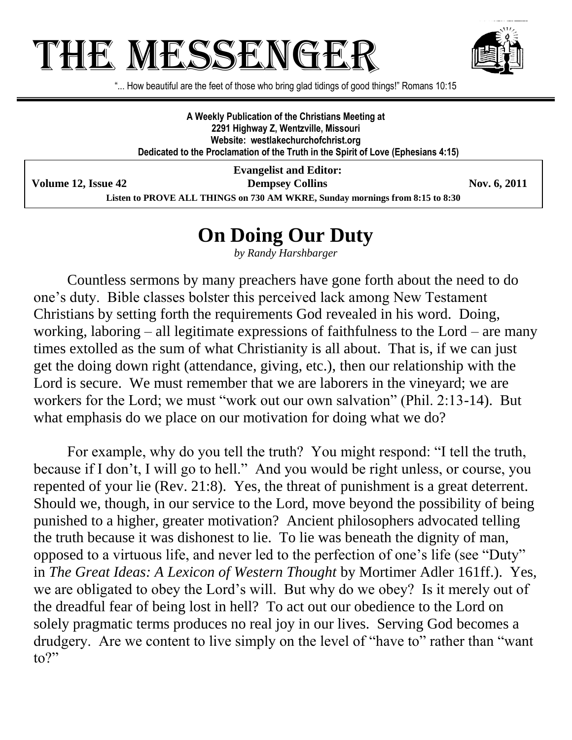## THE MESSENGE



"... How beautiful are the feet of those who bring glad tidings of good things!" Romans 10:15

**A Weekly Publication of the Christians Meeting at 2291 Highway Z, Wentzville, Missouri Website: westlakechurchofchrist.org Dedicated to the Proclamation of the Truth in the Spirit of Love (Ephesians 4:15)**

**Evangelist and Editor: Volume 12, Issue 42 Dempsey Collins Nov. 6, 2011 Listen to PROVE ALL THINGS on 730 AM WKRE, Sunday mornings from 8:15 to 8:30**

## **On Doing Our Duty**

*by Randy Harshbarger*

Countless sermons by many preachers have gone forth about the need to do one's duty. Bible classes bolster this perceived lack among New Testament Christians by setting forth the requirements God revealed in his word. Doing, working, laboring – all legitimate expressions of faithfulness to the Lord – are many times extolled as the sum of what Christianity is all about. That is, if we can just get the doing down right (attendance, giving, etc.), then our relationship with the Lord is secure. We must remember that we are laborers in the vineyard; we are workers for the Lord; we must "work out our own salvation" (Phil. 2:13-14). But what emphasis do we place on our motivation for doing what we do?

For example, why do you tell the truth? You might respond: "I tell the truth, because if I don't, I will go to hell." And you would be right unless, or course, you repented of your lie (Rev. 21:8). Yes, the threat of punishment is a great deterrent. Should we, though, in our service to the Lord, move beyond the possibility of being punished to a higher, greater motivation? Ancient philosophers advocated telling the truth because it was dishonest to lie. To lie was beneath the dignity of man, opposed to a virtuous life, and never led to the perfection of one's life (see "Duty" in *The Great Ideas: A Lexicon of Western Thought* by Mortimer Adler 161ff.). Yes, we are obligated to obey the Lord's will. But why do we obey? Is it merely out of the dreadful fear of being lost in hell? To act out our obedience to the Lord on solely pragmatic terms produces no real joy in our lives. Serving God becomes a drudgery. Are we content to live simply on the level of "have to" rather than "want to?"